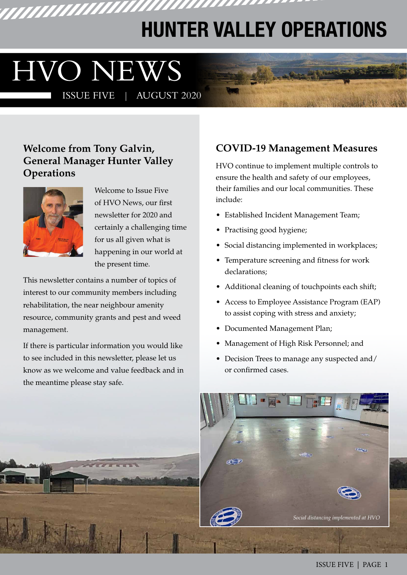## **HUNTER VALLEY OPERATIONS**

777777777777

# HVO NEWS

<u>TITIHIHIHI</u>

ISSUE FIVE | AUGUST 2020

#### **Welcome from Tony Galvin, General Manager Hunter Valley Operations**



Welcome to Issue Five of HVO News, our first newsletter for 2020 and certainly a challenging time for us all given what is happening in our world at the present time.

This newsletter contains a number of topics of interest to our community members including rehabilitation, the near neighbour amenity resource, community grants and pest and weed management.

If there is particular information you would like to see included in this newsletter, please let us know as we welcome and value feedback and in the meantime please stay safe.

#### **COVID-19 Management Measures**

HVO continue to implement multiple controls to ensure the health and safety of our employees, their families and our local communities. These include:

- Established Incident Management Team;
- Practising good hygiene;
- Social distancing implemented in workplaces;
- Temperature screening and fitness for work declarations;
- Additional cleaning of touchpoints each shift;
- Access to Employee Assistance Program (EAP) to assist coping with stress and anxiety;
- Documented Management Plan;
- Management of High Risk Personnel; and
- Decision Trees to manage any suspected and/ or confirmed cases.

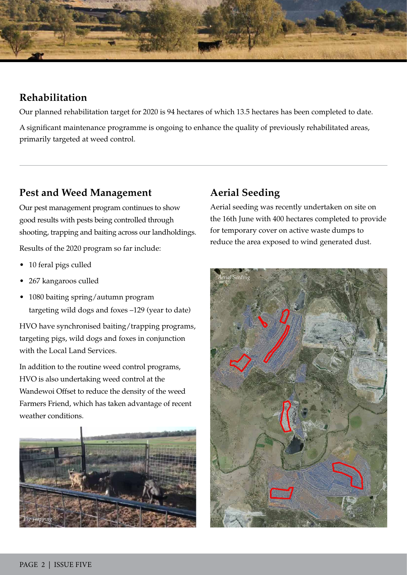

#### **Rehabilitation**

Our planned rehabilitation target for 2020 is 94 hectares of which 13.5 hectares has been completed to date.

A significant maintenance programme is ongoing to enhance the quality of previously rehabilitated areas, primarily targeted at weed control.

#### **Pest and Weed Management**

Our pest management program continues to show good results with pests being controlled through shooting, trapping and baiting across our landholdings.

Results of the 2020 program so far include:

- 10 feral pigs culled
- 267 kangaroos culled
- 1080 baiting spring/autumn program targeting wild dogs and foxes –129 (year to date)

HVO have synchronised baiting/trapping programs, targeting pigs, wild dogs and foxes in conjunction with the Local Land Services.

In addition to the routine weed control programs, HVO is also undertaking weed control at the Wandewoi Offset to reduce the density of the weed Farmers Friend, which has taken advantage of recent weather conditions.



#### **Aerial Seeding**

Aerial seeding was recently undertaken on site on the 16th June with 400 hectares completed to provide for temporary cover on active waste dumps to reduce the area exposed to wind generated dust.

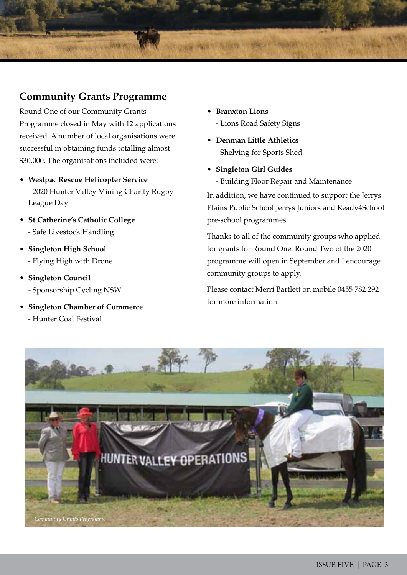#### **Community Grants Programme**

Round One of our Community Grants Programme closed in May with 12 applications received. A number of local organisations were successful in obtaining funds totalling almost \$30,000. The organisations included were:

- **Westpac Rescue Helicopter Service** - 2020 Hunter Valley Mining Charity Rugby League Day
- **St Catherine's Catholic College**  - Safe Livestock Handling
- **Singleton High School**  - Flying High with Drone
- **Singleton Council**  - Sponsorship Cycling NSW
- **Singleton Chamber of Commerce** - Hunter Coal Festival
- **Branxton Lions**  - Lions Road Safety Signs
- **Denman Little Athletics** - Shelving for Sports Shed
- **Singleton Girl Guides** 
	- Building Floor Repair and Maintenance

In addition, we have continued to support the Jerrys Plains Public School Jerrys Juniors and Ready4School pre-school programmes.

Thanks to all of the community groups who applied for grants for Round One. Round Two of the 2020 programme will open in September and I encourage community groups to apply.

Please contact Merri Bartlett on mobile 0455 782 292 for more information.